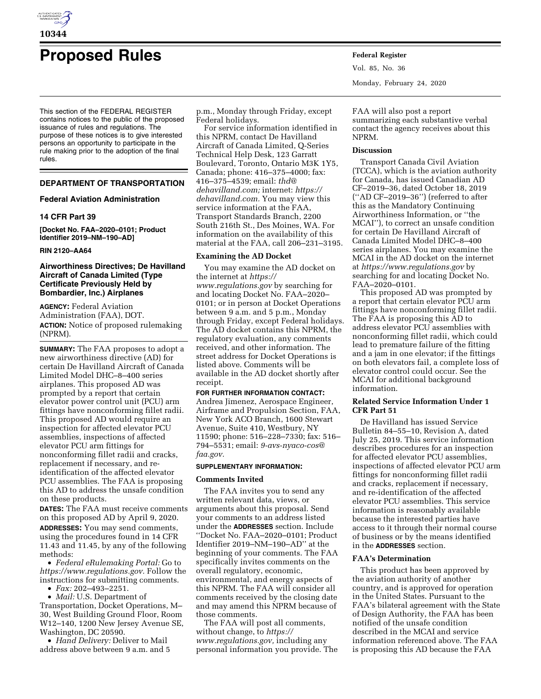

# **Proposed Rules Federal Register**

This section of the FEDERAL REGISTER contains notices to the public of the proposed issuance of rules and regulations. The purpose of these notices is to give interested persons an opportunity to participate in the rule making prior to the adoption of the final rules.

# **DEPARTMENT OF TRANSPORTATION**

# **Federal Aviation Administration**

# **14 CFR Part 39**

**[Docket No. FAA–2020–0101; Product Identifier 2019–NM–190–AD]** 

# **RIN 2120–AA64**

# **Airworthiness Directives; De Havilland Aircraft of Canada Limited (Type Certificate Previously Held by Bombardier, Inc.) Airplanes**

**AGENCY:** Federal Aviation Administration (FAA), DOT. **ACTION:** Notice of proposed rulemaking (NPRM).

**SUMMARY:** The FAA proposes to adopt a new airworthiness directive (AD) for certain De Havilland Aircraft of Canada Limited Model DHC–8–400 series airplanes. This proposed AD was prompted by a report that certain elevator power control unit (PCU) arm fittings have nonconforming fillet radii. This proposed AD would require an inspection for affected elevator PCU assemblies, inspections of affected elevator PCU arm fittings for nonconforming fillet radii and cracks, replacement if necessary, and reidentification of the affected elevator PCU assemblies. The FAA is proposing this AD to address the unsafe condition on these products.

**DATES:** The FAA must receive comments on this proposed AD by April 9, 2020. **ADDRESSES:** You may send comments, using the procedures found in 14 CFR 11.43 and 11.45, by any of the following methods:

• *Federal eRulemaking Portal:* Go to *[https://www.regulations.gov.](https://www.regulations.gov)* Follow the instructions for submitting comments.

• *Fax:* 202–493–2251.

• *Mail:* U.S. Department of Transportation, Docket Operations, M– 30, West Building Ground Floor, Room W12–140, 1200 New Jersey Avenue SE, Washington, DC 20590.

• *Hand Delivery:* Deliver to Mail address above between 9 a.m. and 5 p.m., Monday through Friday, except Federal holidays.

For service information identified in this NPRM, contact De Havilland Aircraft of Canada Limited, Q-Series Technical Help Desk, 123 Garratt Boulevard, Toronto, Ontario M3K 1Y5, Canada; phone: 416–375–4000; fax: 416–375–4539; email: *[thd@](mailto:thd@dehavilland.com) [dehavilland.com;](mailto:thd@dehavilland.com)* internet: *[https://](https://dehavilland.com) [dehavilland.com.](https://dehavilland.com)* You may view this service information at the FAA, Transport Standards Branch, 2200 South 216th St., Des Moines, WA. For information on the availability of this material at the FAA, call 206–231–3195.

# **Examining the AD Docket**

You may examine the AD docket on the internet at *[https://](https://www.regulations.gov) [www.regulations.gov](https://www.regulations.gov)* by searching for and locating Docket No. FAA–2020– 0101; or in person at Docket Operations between 9 a.m. and 5 p.m., Monday through Friday, except Federal holidays. The AD docket contains this NPRM, the regulatory evaluation, any comments received, and other information. The street address for Docket Operations is listed above. Comments will be available in the AD docket shortly after receipt.

# **FOR FURTHER INFORMATION CONTACT:**

Andrea Jimenez, Aerospace Engineer, Airframe and Propulsion Section, FAA, New York ACO Branch, 1600 Stewart Avenue, Suite 410, Westbury, NY 11590; phone: 516–228–7330; fax: 516– 794–5531; email: *[9-avs-nyaco-cos@](mailto:9-avs-nyaco-cos@faa.gov) [faa.gov.](mailto:9-avs-nyaco-cos@faa.gov)* 

## **SUPPLEMENTARY INFORMATION:**

## **Comments Invited**

The FAA invites you to send any written relevant data, views, or arguments about this proposal. Send your comments to an address listed under the **ADDRESSES** section. Include ''Docket No. FAA–2020–0101; Product Identifier 2019–NM–190–AD'' at the beginning of your comments. The FAA specifically invites comments on the overall regulatory, economic, environmental, and energy aspects of this NPRM. The FAA will consider all comments received by the closing date and may amend this NPRM because of those comments.

The FAA will post all comments, without change, to *[https://](https://www.regulations.gov) [www.regulations.gov,](https://www.regulations.gov)* including any personal information you provide. The Vol. 85, No. 36 Monday, February 24, 2020

FAA will also post a report summarizing each substantive verbal contact the agency receives about this NPRM.

## **Discussion**

Transport Canada Civil Aviation (TCCA), which is the aviation authority for Canada, has issued Canadian AD CF–2019–36, dated October 18, 2019 (''AD CF–2019–36'') (referred to after this as the Mandatory Continuing Airworthiness Information, or ''the MCAI''), to correct an unsafe condition for certain De Havilland Aircraft of Canada Limited Model DHC–8–400 series airplanes. You may examine the MCAI in the AD docket on the internet at *<https://www.regulations.gov>* by searching for and locating Docket No. FAA–2020–0101.

This proposed AD was prompted by a report that certain elevator PCU arm fittings have nonconforming fillet radii. The FAA is proposing this AD to address elevator PCU assemblies with nonconforming fillet radii, which could lead to premature failure of the fitting and a jam in one elevator; if the fittings on both elevators fail, a complete loss of elevator control could occur. See the MCAI for additional background information.

# **Related Service Information Under 1 CFR Part 51**

De Havilland has issued Service Bulletin 84–55–10, Revision A, dated July 25, 2019. This service information describes procedures for an inspection for affected elevator PCU assemblies, inspections of affected elevator PCU arm fittings for nonconforming fillet radii and cracks, replacement if necessary, and re-identification of the affected elevator PCU assemblies. This service information is reasonably available because the interested parties have access to it through their normal course of business or by the means identified in the **ADDRESSES** section.

## **FAA's Determination**

This product has been approved by the aviation authority of another country, and is approved for operation in the United States. Pursuant to the FAA's bilateral agreement with the State of Design Authority, the FAA has been notified of the unsafe condition described in the MCAI and service information referenced above. The FAA is proposing this AD because the FAA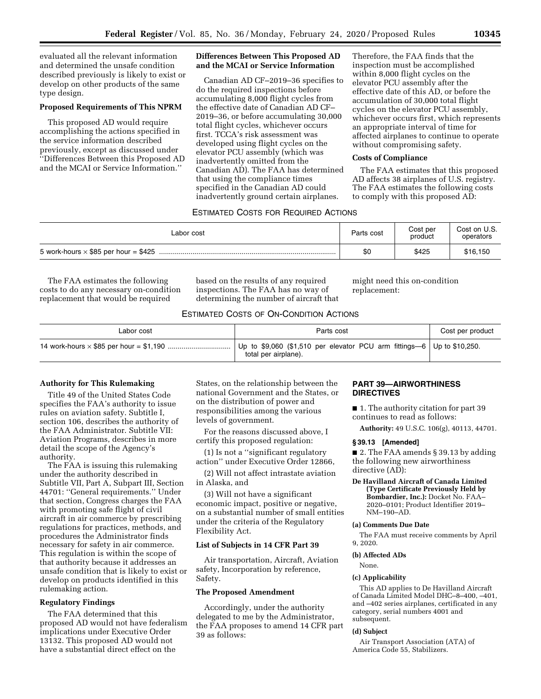evaluated all the relevant information and determined the unsafe condition described previously is likely to exist or develop on other products of the same type design.

# **Proposed Requirements of This NPRM**

This proposed AD would require accomplishing the actions specified in the service information described previously, except as discussed under ''Differences Between this Proposed AD and the MCAI or Service Information.''

# **Differences Between This Proposed AD and the MCAI or Service Information**

Canadian AD CF–2019–36 specifies to do the required inspections before accumulating 8,000 flight cycles from the effective date of Canadian AD CF– 2019–36, or before accumulating 30,000 total flight cycles, whichever occurs first. TCCA's risk assessment was developed using flight cycles on the elevator PCU assembly (which was inadvertently omitted from the Canadian AD). The FAA has determined that using the compliance times specified in the Canadian AD could inadvertently ground certain airplanes.

Therefore, the FAA finds that the inspection must be accomplished within 8,000 flight cycles on the elevator PCU assembly after the effective date of this AD, or before the accumulation of 30,000 total flight cycles on the elevator PCU assembly, whichever occurs first, which represents an appropriate interval of time for affected airplanes to continue to operate without compromising safety.

# **Costs of Compliance**

The FAA estimates that this proposed AD affects 38 airplanes of U.S. registry. The FAA estimates the following costs to comply with this proposed AD:

# ESTIMATED COSTS FOR REQUIRED ACTIONS

| Labor cost                                  | Parts cost | Cost per<br>product | Cost on U.S.<br>operators |
|---------------------------------------------|------------|---------------------|---------------------------|
| 5 work-hours $\times$ \$85 per hour = \$425 | \$0        | \$425               | \$16,150                  |

The FAA estimates the following costs to do any necessary on-condition replacement that would be required

based on the results of any required inspections. The FAA has no way of determining the number of aircraft that might need this on-condition replacement:

## ESTIMATED COSTS OF ON-CONDITION ACTIONS

| Labor cost | Parts cost                                                                                     | Cost per product |
|------------|------------------------------------------------------------------------------------------------|------------------|
|            | Up to \$9,060 (\$1,510 per elevator PCU arm fittings-6 Up to \$10,250.<br>total per airplane). |                  |

## **Authority for This Rulemaking**

Title 49 of the United States Code specifies the FAA's authority to issue rules on aviation safety. Subtitle I, section 106, describes the authority of the FAA Administrator. Subtitle VII: Aviation Programs, describes in more detail the scope of the Agency's authority.

The FAA is issuing this rulemaking under the authority described in Subtitle VII, Part A, Subpart III, Section 44701: ''General requirements.'' Under that section, Congress charges the FAA with promoting safe flight of civil aircraft in air commerce by prescribing regulations for practices, methods, and procedures the Administrator finds necessary for safety in air commerce. This regulation is within the scope of that authority because it addresses an unsafe condition that is likely to exist or develop on products identified in this rulemaking action.

## **Regulatory Findings**

The FAA determined that this proposed AD would not have federalism implications under Executive Order 13132. This proposed AD would not have a substantial direct effect on the

States, on the relationship between the national Government and the States, or on the distribution of power and responsibilities among the various levels of government.

For the reasons discussed above, I certify this proposed regulation:

(1) Is not a ''significant regulatory action'' under Executive Order 12866,

(2) Will not affect intrastate aviation in Alaska, and

(3) Will not have a significant economic impact, positive or negative, on a substantial number of small entities under the criteria of the Regulatory Flexibility Act.

## **List of Subjects in 14 CFR Part 39**

Air transportation, Aircraft, Aviation safety, Incorporation by reference, Safety.

# **The Proposed Amendment**

Accordingly, under the authority delegated to me by the Administrator, the FAA proposes to amend 14 CFR part 39 as follows:

# **PART 39—AIRWORTHINESS DIRECTIVES**

■ 1. The authority citation for part 39 continues to read as follows:

**Authority:** 49 U.S.C. 106(g), 40113, 44701.

## **§ 39.13 [Amended]**

■ 2. The FAA amends § 39.13 by adding the following new airworthiness directive (AD):

**De Havilland Aircraft of Canada Limited (Type Certificate Previously Held by Bombardier, Inc.):** Docket No. FAA– 2020–0101; Product Identifier 2019– NM–190–AD.

# **(a) Comments Due Date**

The FAA must receive comments by April 9, 2020.

# **(b) Affected ADs**

# None.

# **(c) Applicability**

This AD applies to De Havilland Aircraft of Canada Limited Model DHC–8–400, –401, and –402 series airplanes, certificated in any category, serial numbers 4001 and subsequent.

#### **(d) Subject**

Air Transport Association (ATA) of America Code 55, Stabilizers.